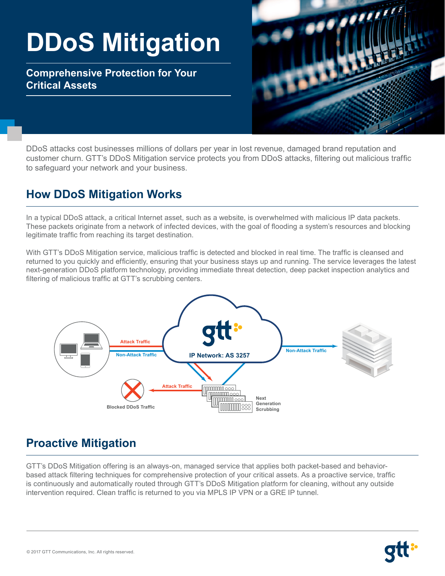# **DDoS Mitigation**

**Comprehensive Protection for Your Critical Assets**



DDoS attacks cost businesses millions of dollars per year in lost revenue, damaged brand reputation and customer churn. GTT's DDoS Mitigation service protects you from DDoS attacks, filtering out malicious traffic to safeguard your network and your business.

## **How DDoS Mitigation Works**

In a typical DDoS attack, a critical Internet asset, such as a website, is overwhelmed with malicious IP data packets. These packets originate from a network of infected devices, with the goal of flooding a system's resources and blocking legitimate traffic from reaching its target destination.

With GTT's DDoS Mitigation service, malicious traffic is detected and blocked in real time. The traffic is cleansed and returned to you quickly and efficiently, ensuring that your business stays up and running. The service leverages the latest next-generation DDoS platform technology, providing immediate threat detection, deep packet inspection analytics and filtering of malicious traffic at GTT's scrubbing centers.



## **Proactive Mitigation**

GTT's DDoS Mitigation offering is an always-on, managed service that applies both packet-based and behaviorbased attack filtering techniques for comprehensive protection of your critical assets. As a proactive service, traffic is continuously and automatically routed through GTT's DDoS Mitigation platform for cleaning, without any outside intervention required. Clean traffic is returned to you via MPLS IP VPN or a GRE IP tunnel.